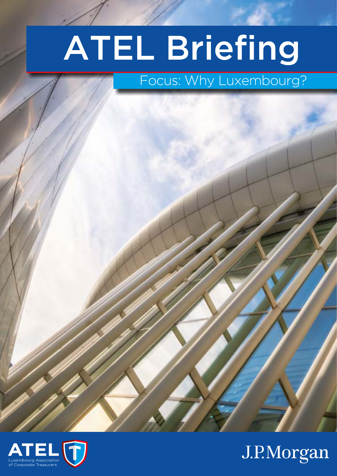# ATEL Briefing

### Focus: Why Luxembourg?



## J.P.Morgan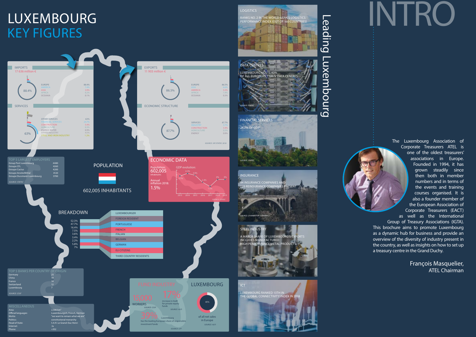# INTRO

The Luxembourg Association of Corporate Treasurers ATEL is one of the oldest treasurers' associations in Europe. Founded in 1994, it has grown steadily since then both in member numbers and in terms of the events and training courses organised. It is also a founder member of the European Association of Corporate Treasurers (EACT) as well as the International Group of Treasury Associations (IGTA). This brochure aims to promote Luxembourg as a dynamic hub for business and provide an overview of the diversity of industry present in the country, as well as insights on how to set up a treasury centre in the Grand Duchy.

> François Masquelier, ATEL Chairman

## LUXEMBOURG KEY FIGURES



#### $\overline{\phantom{0}}$  $\overline{\mathsf{D}}$  $\overline{\mathbf{c}}$ din<br>Di  $\overline{O}$  $\overline{\phantom{0}}$  $\overline{\phantom{0}}$  $\bm{\times}$  $\overline{\mathsf{D}}$  $\overline{\mathsf{B}}$  $\overline{\mathbf{C}}$ o  $\overline{\phantom{0}}$  $\overline{\phantom{0}}$

LOGISTICS

RANKS NO. 2 IN THE WORLD BANK'S LOGISTICS PERFORMANCE INDEX (OUT OF 160 COUNTRIES)

 $\overline{\mathsf{C}}$ 

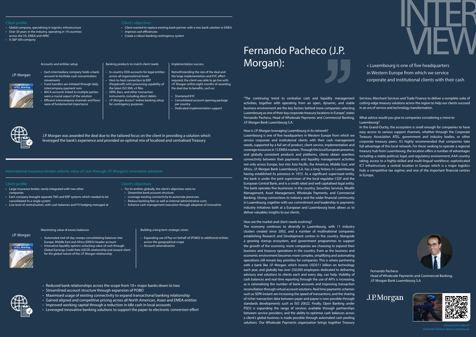### Fernando Pacheco (J.P. Morgan):

INTER

« Luxembourg is one of five headquarters VIEW in Western Europe from which we service corporate and institutional clients with their cash

- Global company, specialising in logistics infrastructure
- Over 30 years in the industry, operating in 19 countries
- across the US, EMEA and APAC
- A S&P 500 company

#### Accounts and entities setup

- 
- Each intermediary company holds a bank account to facilitate cash concentration movements • Fund transfers are initiated through daily
- intercompany payment runs • BACA accounts linked to multiple parties
- were a crucial aspect of the solution • Efficient intercompany channels and flows were of fundamental importance

#### Banking products to match client needs

- In-country DDA accounts for legal entities across all organisational levels • Host-to-host connection to ERP
- (Peoplesoft) with processing capability of the latest ISO XML v3 files • SEPA, Bacs, and other transaction
- instruments, including direct debits • J.P. Morgan Access® online banking setup for contingency purposes

#### Implementation success

- Notwithstanding the size of the deal and the large implementation and KYC effort required, the client was able to go live with J.P. Morgan within eight months of awarding the deal due to benefits, such as:
- Shortened KYC
- Consolidated account opening package per country
- Dedicated implementation support



J.P. Morgan was awarded the deal due to the tailored focus on the client in providing a solution which leveraged the bank's experience and provided an optimal mix of localised and centralised Treasury

#### Client's objectives

- Client wanted to replace existing bank partner with a two-bank solution in EMEA
- Improve cost efficiencies
- Create a robust banking contingency system

#### J.P. Morgan

#### Client profile Client's objectives

• Large insurance broker, newly integrated with two other companies

consolidated to a single system

• Low level of centralisation, with cash balances and FX hedging managed at

#### Maximising value of excess balances

- Automated end-of-day sweeps consolidating balances into Europe, Middle East and Africa (EMEA) header account
- Innovative liquidity options unlocking value of cash through Global Earnings Credit Rate (GECR) relationship and reward client for the global nature of the J.P. Morgan relationship

#### Building a long term strategic vision

• Expanding use of Pay-on-behalf-of (POBO) to additional entities across the geographical scope

• Account rationalisation

- Each company brought separate TMS and ERP systems which needed to be • Streamline bank account structure
	- Leverage existing connectivity to automate processes • Reduce banking fees as well as internal administrative costs

• For its entities globally, the client's objectives were to:

- Reduced bank relationships across the scope from 10+ major banks down to two
- Streamlined account structure through expansion of POBO
- Maximised usage of existing connectivity to expand transactional banking relationship
- Gained aligned and competitive pricing across all North American, Asian and EMEA entities
- Improved working capital through a reduction in idle cash in local accounts
- Leveraged innovative banking solutions to support the paper to electronic conversion effort

• Enhance cash management execution through adoption of innovative

#### J.P. Morgan

"The continuing trend to centralise cash and liquidity management activities, together with operating from an open, dynamic, and stable business environment are the key factors behind more companies selecting Luxembourg as one of their key corporate treasury locations in Europe", states Fernando Pacheco, Head of Wholesale Payments and Commercial Banking, J.P. Morgan Bank Luxembourg S.A.

#### How are the market and client needs evolving?

How is J.P. Morgan leveraging Luxembourg in its network? Luxembourg is one of five headquarters in Western Europe from which we service corporate and institutional clients with their cash management needs, supported by a full set of product, client service, implementation and coverage resources in 15 EMEA markets. Through this local European presence, and globally consistent products and platforms, clients obtain seamless connectivity between their payments and liquidity management activities not only across Europe, but into Asia Pacific, the Americas, Middle East, and Africa. J.P. Morgan Bank Luxembourg S.A. has a long history in Luxembourg, having established its presence in 1973. As a significant supervised entity, the bank is under the joint supervision of the local regulator CSSF and the European Central Bank, and is a credit rated and well capitalised legal entity. The bank operates five businesses in the country, Securities Services, Wealth Management, Asset Management, Wholesale Payments, and Commercial Banking. Strong connections to industry and the wider financial community in Luxembourg, together with our commitment and leadership in payments industry initiatives both at a European and Luxembourg level, allows us to deliver valuables insights to our clients. In the Grand-Duchy, the ecosystem is small enough for companies to have easy access to various support channels, whether through the Corporate Treasury Association ATEL, government and industry bodies, or other corporate treasury peers. It's highly recommended that companies take full advantage of this local network. For those seeking to operate a regional treasury hub from Luxembourg, the location offers a number of advantages including: a stable political, legal, and regulatory environment; AAA country rating; access to a highly-skilled and multi-lingual workforce; sophisticated ICT infrastructure; a central location in Europe which is a major logistics hub; a competitive tax regime; and one of the important financial centres in Europe.

The economy continues to diversify in Luxembourg, with 11 industry clusters created since 2002, and a number of multinational companies establishing Research and Development centres in the country. Alongside a growing startup ecosystem, and government programmes to support the growth of the economy, more companies are choosing to expand their business and treasury operations in the country. Even as the business and economic environment becomes more complex, simplifying and automating operations still remain key priorities for companies. This is where partnering with a bank like J.P. Morgan, which invests USD\$11 billion on technology each year, and globally has over 250,000 employees dedicated to delivering advisory and solutions to clients each and every day, can help. Visibility of cash balances and real time reporting through the use of API's is increasing, as is rationalising the number of bank accounts and improving transaction reconciliation through virtual account solutions. Real time payments schemes such as SEPA Instant are increasing the speed of transactions, and the sharing of richer transaction data between payer and payee is now possible through standards developments such as ISO 20022. Finally, Open Banking under PSD2 is expanding the range of services available through partnerships between service providers, and the ability to optimise cash balances across a client's global business is made possible through automated cash pooling solutions. Our Wholesale Payments organisation brings together Treasury



Services, Merchant Services and Trade Finance to deliver a complete suite of cutting-edge treasury solutions across the region to help our clients succeed in an era of service and technology transformation.

What advice would you give to companies considering a move to Luxembourg?



Fernando Pacheco

Head of Wholesale Payments and Commercial Banking, J.P. Morgan Bank Luxembourg S.A.





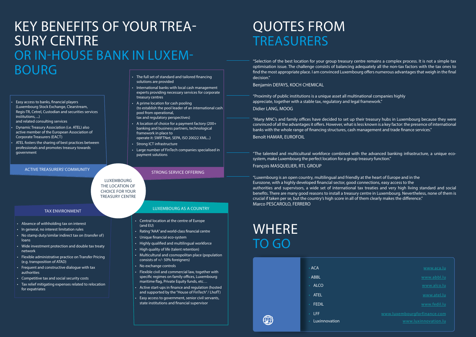"Selection of the best location for your group treasury centre remains a complex process. It is not a simple tax optimisation issue. The challenge consists of balancing adequately all the non-tax factors with the tax ones to find the most appropriate place. I am convinced Luxembourg offers numerous advantages that weigh in the final decision."

## QUOTES FROM **TREASURERS**

Benjamin DEFAYS, KOCH CHEMICAL

"Proximity of public institutions is a unique asset all multinational companies highly appreciate, together with a stable tax, regulatory and legal framework." Didier LANG, MOOG

"Many MNC's and family offices have decided to set up their treasury hubs in Luxembourg because they were convinced of all the advantages it offers. However, what is less known is a key factor: the presence of international banks with the whole range of financing structures, cash management and trade finance services." Benoît HAMAR, EUROFOIL

"The talented and multicultural workforce combined with the advanced banking infrastructure, a unique ecosystem, make Luxembourg the perfect location for a group treasury function."

François MASQUELIER, RTL GROUP

"Luxembourg is an open country, multilingual and friendly at the heart of Europe and in the Eurozone, with a highly developed financial sector, good connections, easy access to the authorities and supervisors, a wide set of international tax treaties and very high living standard and social benefits. There are many good reasons to install a treasury centre in Luxembourg. Nevertheless, none of them is crucial if taken per se, but the country's high score in all of them clearly makes the difference." Marco PESCAROLO, FERRERO

- Easy access to banks, financial players (Luxembourg Stock Exchange, Clearstream, Regis-TR, Cetrel, Custodian and securities services institutions, ...)
- and related consulting services
- Dynamic Treasury Association (i.e. ATEL) also active member of the European Association of Corporate Treasurers (EACT)
- ATEL fosters the sharing of best practices between professionals and promotes treasury towards government

#### ACTIVE TREASURERS' COMMUNITY STRONG SERVICE OFFERING

- Absence of withholding tax on interest
- In general, no interest limitation rules
- No stamp duty/similar indirect tax on (transfer of) loans
- Wide investment protection and double tax treaty network
- Flexible administrative practice on Transfer Pricing (e.g. transposition of ATAD)
- Frequent and constructive dialogue with tax authorities
- Competitive tax and social security costs
- Tax relief mitigating expenses related to relocation for expatriates
- The full set of standard and tailored financing solutions are provided
- International banks with local cash management experts providing necessary services for corporate treasury centres
- A prime location for cash pooling (to establish the pool leader of an international cash pool from operational, tax and regulatory perspectives)
- A location of choice for a payment factory (200+ banking and business partners, technological framework in place to operate it: SWIFTNet, SEPA, ISO 20022 XML...)
- Strong ICT infrastructure
- Large number of FinTech companies specialised in payment solutions

#### TAX ENVIRONMENT LUXEMBOURG AS A COUNTRY

- Central location at the centre of Europe (and EU)
- Rating "AAA" and world-class financial centre
- Unique financial eco-system
- Highly qualified and multilingual workforce
- High quality of life (talent retention)
- Multicultural and cosmopolitan place (population consists of +/- 50% foreigners)
- No exchange controls
- Flexible civil and commercial law, together with specific regimes on family offices, Luxembourg maritime flag, Private Equity funds, etc…
- Active start-ups in finance and regulation (hosted and supported by the "House of FinTech" / LhofT)
- Easy access to government, senior civil servants, state institutions and financial supervisor

## KEY BENEFITS OF YOUR TREA- SURY CENTRE OR IN-HOUSE BANK IN LUXEM-BOURG

LUXEMBOURG THE LOCATION OF CHOICE FOR YOUR TREASURY CENTRE

## WHERE TO GO



• LFF www.luxembourgforfinance.com